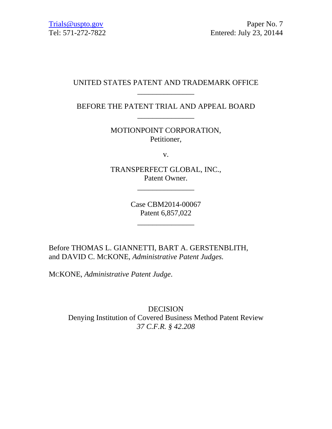# UNITED STATES PATENT AND TRADEMARK OFFICE \_\_\_\_\_\_\_\_\_\_\_\_\_\_\_

BEFORE THE PATENT TRIAL AND APPEAL BOARD \_\_\_\_\_\_\_\_\_\_\_\_\_\_\_

> MOTIONPOINT CORPORATION, Petitioner,

> > v.

TRANSPERFECT GLOBAL, INC., Patent Owner.

\_\_\_\_\_\_\_\_\_\_\_\_\_\_\_

Case CBM2014-00067 Patent 6,857,022

\_\_\_\_\_\_\_\_\_\_\_\_\_\_\_

Before THOMAS L. GIANNETTI, BART A. GERSTENBLITH, and DAVID C. MCKONE, *Administrative Patent Judges.* 

MCKONE, *Administrative Patent Judge*.

DECISION Denying Institution of Covered Business Method Patent Review *37 C.F.R. § 42.208*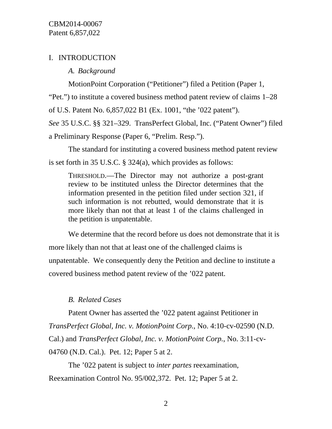# I. INTRODUCTION

*A. Background* 

MotionPoint Corporation ("Petitioner") filed a Petition (Paper 1,

"Pet.") to institute a covered business method patent review of claims 1–28

of U.S. Patent No. 6,857,022 B1 (Ex. 1001, "the '022 patent").

*See* 35 U.S.C. §§ 321–329. TransPerfect Global, Inc. ("Patent Owner") filed

a Preliminary Response (Paper 6, "Prelim. Resp.").

The standard for instituting a covered business method patent review is set forth in 35 U.S.C. § 324(a), which provides as follows:

THRESHOLD.—The Director may not authorize a post-grant review to be instituted unless the Director determines that the information presented in the petition filed under section 321, if such information is not rebutted, would demonstrate that it is more likely than not that at least 1 of the claims challenged in the petition is unpatentable.

We determine that the record before us does not demonstrate that it is more likely than not that at least one of the challenged claims is unpatentable. We consequently deny the Petition and decline to institute a covered business method patent review of the '022 patent.

# *B. Related Cases*

Patent Owner has asserted the '022 patent against Petitioner in *TransPerfect Global, Inc. v. MotionPoint Corp.*, No. 4:10-cv-02590 (N.D. Cal.) and *TransPerfect Global, Inc. v. MotionPoint Corp.*, No. 3:11-cv-04760 (N.D. Cal.). Pet. 12; Paper 5 at 2.

The '022 patent is subject to *inter partes* reexamination, Reexamination Control No. 95/002,372. Pet. 12; Paper 5 at 2.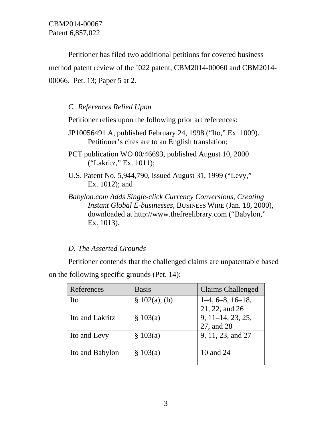Petitioner has filed two additional petitions for covered business method patent review of the '022 patent, CBM2014-00060 and CBM2014- 00066. Pet. 13; Paper 5 at 2.

*C. References Relied Upon* 

Petitioner relies upon the following prior art references:

- JP10056491 A, published February 24, 1998 ("Ito," Ex. 1009). Petitioner's cites are to an English translation;
- PCT publication WO 00/46693, published August 10, 2000 ("Lakritz," Ex. 1011);
- U.S. Patent No. 5,944,790, issued August 31, 1999 ("Levy," Ex. 1012); and
- *Babylon.com Adds Single-click Currency Conversions, Creating Instant Global E-businesses*, BUSINESS WIRE (Jan. 18, 2000), downloaded at http://www.thefreelibrary.com ("Babylon," Ex. 1013).

# *D. The Asserted Grounds*

Petitioner contends that the challenged claims are unpatentable based on the following specific grounds (Pet. 14):

| References      | <b>Basis</b>     | <b>Claims Challenged</b> |
|-----------------|------------------|--------------------------|
| Ito             | $\S$ 102(a), (b) | $1-4, 6-8, 16-18,$       |
|                 |                  | 21, 22, and 26           |
| Ito and Lakritz | \$103(a)         | 9, 11–14, 23, 25,        |
|                 |                  | 27, and 28               |
| Ito and Levy    | \$103(a)         | 9, 11, 23, and 27        |
| Ito and Babylon | \$103(a)         | 10 and 24                |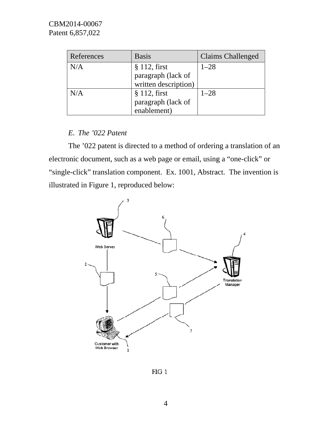| References | <b>Basis</b>                                                 | Claims Challenged |
|------------|--------------------------------------------------------------|-------------------|
| N/A        | $§$ 112, first<br>paragraph (lack of<br>written description) | $1 - 28$          |
| N/A        | $§$ 112, first<br>paragraph (lack of<br>enablement)          | $1 - 28$          |

# *E. The '022 Patent*

electronic document, such as a web page or email, using a "one-click" or "single-click" translation component. Ex. 1001, Abstract. The invention is illustrated in Figure 1, reproduced below: The '022 patent is directed to a method of ordering a translation of an



 $FIG\ 1$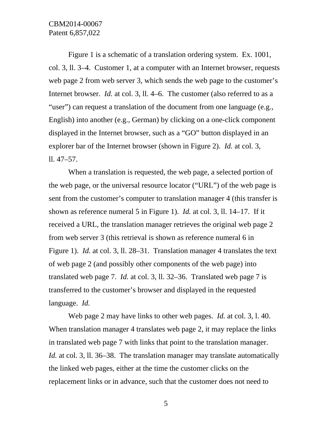Figure 1 is a schematic of a translation ordering system. Ex. 1001, col. 3, ll. 3–4. Customer 1, at a computer with an Internet browser, requests web page 2 from web server 3, which sends the web page to the customer's Internet browser. *Id.* at col. 3, ll. 4–6. The customer (also referred to as a "user") can request a translation of the document from one language (e.g., English) into another (e.g., German) by clicking on a one-click component displayed in the Internet browser, such as a "GO" button displayed in an explorer bar of the Internet browser (shown in Figure 2). *Id.* at col. 3, ll. 47–57.

When a translation is requested, the web page, a selected portion of the web page, or the universal resource locator ("URL") of the web page is sent from the customer's computer to translation manager 4 (this transfer is shown as reference numeral 5 in Figure 1). *Id.* at col. 3, ll. 14–17. If it received a URL, the translation manager retrieves the original web page 2 from web server 3 (this retrieval is shown as reference numeral 6 in Figure 1). *Id.* at col. 3, ll. 28–31. Translation manager 4 translates the text of web page 2 (and possibly other components of the web page) into translated web page 7. *Id.* at col. 3, ll. 32–36. Translated web page 7 is transferred to the customer's browser and displayed in the requested language. *Id.*

Web page 2 may have links to other web pages. *Id.* at col. 3, l. 40. When translation manager 4 translates web page 2, it may replace the links in translated web page 7 with links that point to the translation manager. *Id.* at col. 3, 11. 36–38. The translation manager may translate automatically the linked web pages, either at the time the customer clicks on the replacement links or in advance, such that the customer does not need to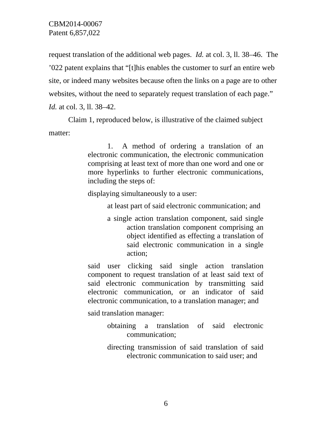request translation of the additional web pages. *Id.* at col. 3, ll. 38–46. The '022 patent explains that "[t]his enables the customer to surf an entire web site, or indeed many websites because often the links on a page are to other websites, without the need to separately request translation of each page." *Id.* at col. 3, ll. 38–42.

 Claim 1, reproduced below, is illustrative of the claimed subject matter:

> 1. A method of ordering a translation of an electronic communication, the electronic communication comprising at least text of more than one word and one or more hyperlinks to further electronic communications, including the steps of:

displaying simultaneously to a user:

at least part of said electronic communication; and

a single action translation component, said single action translation component comprising an object identified as effecting a translation of said electronic communication in a single action;

said user clicking said single action translation component to request translation of at least said text of said electronic communication by transmitting said electronic communication, or an indicator of said electronic communication, to a translation manager; and

said translation manager:

- obtaining a translation of said electronic communication;
- directing transmission of said translation of said electronic communication to said user; and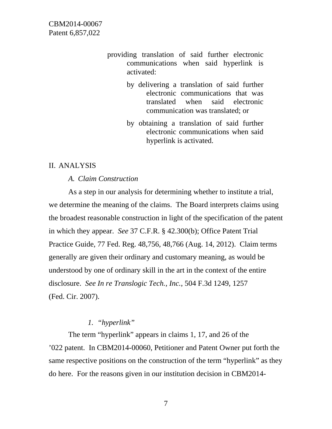- providing translation of said further electronic communications when said hyperlink is activated:
	- by delivering a translation of said further electronic communications that was translated when said electronic communication was translated; or
	- by obtaining a translation of said further electronic communications when said hyperlink is activated.

#### II. ANALYSIS

## *A. Claim Construction*

As a step in our analysis for determining whether to institute a trial, we determine the meaning of the claims. The Board interprets claims using the broadest reasonable construction in light of the specification of the patent in which they appear. *See* 37 C.F.R. § 42.300(b); Office Patent Trial Practice Guide, 77 Fed. Reg. 48,756, 48,766 (Aug. 14, 2012). Claim terms generally are given their ordinary and customary meaning, as would be understood by one of ordinary skill in the art in the context of the entire disclosure. *See In re Translogic Tech., Inc.*, 504 F.3d 1249, 1257 (Fed. Cir. 2007).

# *1. "hyperlink"*

The term "hyperlink" appears in claims 1, 17, and 26 of the '022 patent. In CBM2014-00060, Petitioner and Patent Owner put forth the same respective positions on the construction of the term "hyperlink" as they do here. For the reasons given in our institution decision in CBM2014-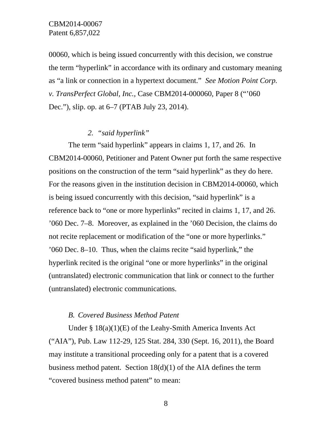00060, which is being issued concurrently with this decision, we construe the term "hyperlink" in accordance with its ordinary and customary meaning as "a link or connection in a hypertext document." *See Motion Point Corp. v. TransPerfect Global, Inc.*, Case CBM2014-000060, Paper 8 ("'060 Dec."), slip. op. at 6–7 (PTAB July 23, 2014).

# *2. "said hyperlink"*

The term "said hyperlink" appears in claims 1, 17, and 26. In CBM2014-00060, Petitioner and Patent Owner put forth the same respective positions on the construction of the term "said hyperlink" as they do here. For the reasons given in the institution decision in CBM2014-00060, which is being issued concurrently with this decision, "said hyperlink" is a reference back to "one or more hyperlinks" recited in claims 1, 17, and 26. '060 Dec. 7–8. Moreover, as explained in the '060 Decision, the claims do not recite replacement or modification of the "one or more hyperlinks." '060 Dec. 8–10. Thus, when the claims recite "said hyperlink," the hyperlink recited is the original "one or more hyperlinks" in the original (untranslated) electronic communication that link or connect to the further (untranslated) electronic communications.

#### *B. Covered Business Method Patent*

Under § 18(a)(1)(E) of the Leahy-Smith America Invents Act ("AIA"), Pub. Law 112-29, 125 Stat. 284, 330 (Sept. 16, 2011), the Board may institute a transitional proceeding only for a patent that is a covered business method patent. Section  $18(d)(1)$  of the AIA defines the term "covered business method patent" to mean: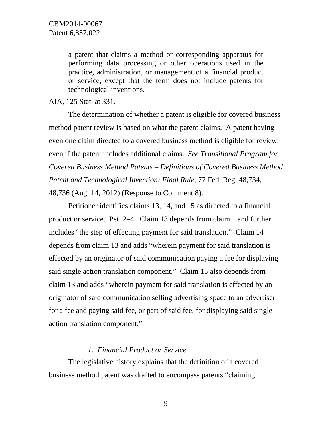a patent that claims a method or corresponding apparatus for performing data processing or other operations used in the practice, administration, or management of a financial product or service, except that the term does not include patents for technological inventions.

AIA, 125 Stat. at 331.

The determination of whether a patent is eligible for covered business method patent review is based on what the patent claims. A patent having even one claim directed to a covered business method is eligible for review, even if the patent includes additional claims. *See Transitional Program for Covered Business Method Patents – Definitions of Covered Business Method Patent and Technological Invention; Final Rule*, 77 Fed. Reg. 48,734, 48,736 (Aug. 14, 2012) (Response to Comment 8).

Petitioner identifies claims 13, 14, and 15 as directed to a financial product or service. Pet. 2–4. Claim 13 depends from claim 1 and further includes "the step of effecting payment for said translation." Claim 14 depends from claim 13 and adds "wherein payment for said translation is effected by an originator of said communication paying a fee for displaying said single action translation component." Claim 15 also depends from claim 13 and adds "wherein payment for said translation is effected by an originator of said communication selling advertising space to an advertiser for a fee and paying said fee, or part of said fee, for displaying said single action translation component."

#### *1. Financial Product or Service*

The legislative history explains that the definition of a covered business method patent was drafted to encompass patents "claiming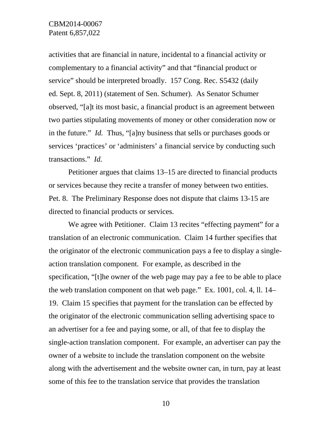activities that are financial in nature, incidental to a financial activity or complementary to a financial activity" and that "financial product or service" should be interpreted broadly. 157 Cong. Rec. S5432 (daily ed. Sept. 8, 2011) (statement of Sen. Schumer). As Senator Schumer observed, "[a]t its most basic, a financial product is an agreement between two parties stipulating movements of money or other consideration now or in the future." *Id.* Thus, "[a]ny business that sells or purchases goods or services 'practices' or 'administers' a financial service by conducting such transactions." *Id.*

Petitioner argues that claims 13–15 are directed to financial products or services because they recite a transfer of money between two entities. Pet. 8. The Preliminary Response does not dispute that claims 13-15 are directed to financial products or services.

We agree with Petitioner. Claim 13 recites "effecting payment" for a translation of an electronic communication. Claim 14 further specifies that the originator of the electronic communication pays a fee to display a singleaction translation component. For example, as described in the specification, "[t]he owner of the web page may pay a fee to be able to place the web translation component on that web page." Ex. 1001, col. 4, ll. 14– 19. Claim 15 specifies that payment for the translation can be effected by the originator of the electronic communication selling advertising space to an advertiser for a fee and paying some, or all, of that fee to display the single-action translation component. For example, an advertiser can pay the owner of a website to include the translation component on the website along with the advertisement and the website owner can, in turn, pay at least some of this fee to the translation service that provides the translation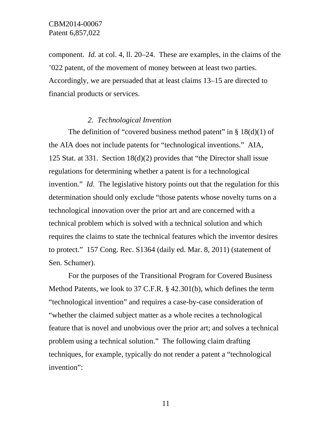component. *Id.* at col. 4, ll. 20–24. These are examples, in the claims of the '022 patent, of the movement of money between at least two parties. Accordingly, we are persuaded that at least claims 13–15 are directed to financial products or services.

# *2. Technological Invention*

The definition of "covered business method patent" in  $\S 18(d)(1)$  of the AIA does not include patents for "technological inventions." AIA, 125 Stat. at 331. Section 18(d)(2) provides that "the Director shall issue regulations for determining whether a patent is for a technological invention." *Id.* The legislative history points out that the regulation for this determination should only exclude "those patents whose novelty turns on a technological innovation over the prior art and are concerned with a technical problem which is solved with a technical solution and which requires the claims to state the technical features which the inventor desires to protect." 157 Cong. Rec. S1364 (daily ed. Mar. 8, 2011) (statement of Sen. Schumer).

For the purposes of the Transitional Program for Covered Business Method Patents, we look to 37 C.F.R. § 42.301(b), which defines the term "technological invention" and requires a case-by-case consideration of "whether the claimed subject matter as a whole recites a technological feature that is novel and unobvious over the prior art; and solves a technical problem using a technical solution." The following claim drafting techniques, for example, typically do not render a patent a "technological invention":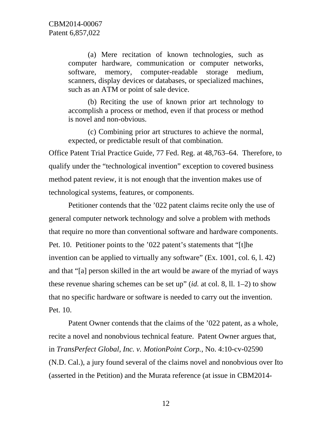(a) Mere recitation of known technologies, such as computer hardware, communication or computer networks, software, memory, computer-readable storage medium, scanners, display devices or databases, or specialized machines, such as an ATM or point of sale device.

(b) Reciting the use of known prior art technology to accomplish a process or method, even if that process or method is novel and non-obvious.

(c) Combining prior art structures to achieve the normal, expected, or predictable result of that combination.

Office Patent Trial Practice Guide, 77 Fed. Reg. at 48,763–64. Therefore, to qualify under the "technological invention" exception to covered business method patent review, it is not enough that the invention makes use of technological systems, features, or components.

Petitioner contends that the '022 patent claims recite only the use of general computer network technology and solve a problem with methods that require no more than conventional software and hardware components. Pet. 10. Petitioner points to the '022 patent's statements that "[t]he invention can be applied to virtually any software" (Ex. 1001, col. 6, l. 42) and that "[a] person skilled in the art would be aware of the myriad of ways these revenue sharing schemes can be set up" (*id.* at col. 8, ll. 1–2) to show that no specific hardware or software is needed to carry out the invention. Pet. 10.

Patent Owner contends that the claims of the '022 patent, as a whole, recite a novel and nonobvious technical feature. Patent Owner argues that, in *TransPerfect Global, Inc. v. MotionPoint Corp.*, No. 4:10-cv-02590 (N.D. Cal.), a jury found several of the claims novel and nonobvious over Ito (asserted in the Petition) and the Murata reference (at issue in CBM2014-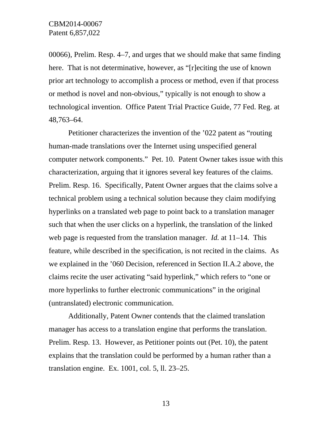00066), Prelim. Resp. 4–7, and urges that we should make that same finding here. That is not determinative, however, as "[r]eciting the use of known prior art technology to accomplish a process or method, even if that process or method is novel and non-obvious," typically is not enough to show a technological invention. Office Patent Trial Practice Guide, 77 Fed. Reg. at 48,763–64.

Petitioner characterizes the invention of the '022 patent as "routing human-made translations over the Internet using unspecified general computer network components." Pet. 10. Patent Owner takes issue with this characterization, arguing that it ignores several key features of the claims. Prelim. Resp. 16. Specifically, Patent Owner argues that the claims solve a technical problem using a technical solution because they claim modifying hyperlinks on a translated web page to point back to a translation manager such that when the user clicks on a hyperlink, the translation of the linked web page is requested from the translation manager. *Id.* at 11–14. This feature, while described in the specification, is not recited in the claims. As we explained in the '060 Decision, referenced in Section II.A.2 above, the claims recite the user activating "said hyperlink," which refers to "one or more hyperlinks to further electronic communications" in the original (untranslated) electronic communication.

Additionally, Patent Owner contends that the claimed translation manager has access to a translation engine that performs the translation. Prelim. Resp. 13. However, as Petitioner points out (Pet. 10), the patent explains that the translation could be performed by a human rather than a translation engine. Ex. 1001, col. 5, ll. 23–25.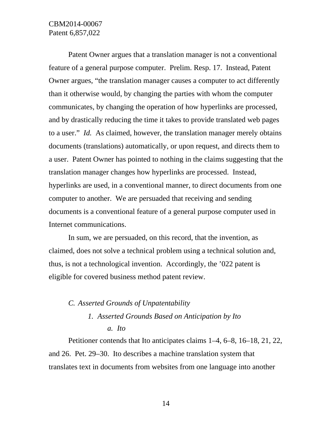Patent Owner argues that a translation manager is not a conventional feature of a general purpose computer. Prelim. Resp. 17. Instead, Patent Owner argues, "the translation manager causes a computer to act differently than it otherwise would, by changing the parties with whom the computer communicates, by changing the operation of how hyperlinks are processed, and by drastically reducing the time it takes to provide translated web pages to a user." *Id.* As claimed, however, the translation manager merely obtains documents (translations) automatically, or upon request, and directs them to a user. Patent Owner has pointed to nothing in the claims suggesting that the translation manager changes how hyperlinks are processed. Instead, hyperlinks are used, in a conventional manner, to direct documents from one computer to another. We are persuaded that receiving and sending documents is a conventional feature of a general purpose computer used in Internet communications.

In sum, we are persuaded, on this record, that the invention, as claimed, does not solve a technical problem using a technical solution and, thus, is not a technological invention. Accordingly, the '022 patent is eligible for covered business method patent review.

# *C. Asserted Grounds of Unpatentability*

# *1. Asserted Grounds Based on Anticipation by Ito a. Ito*

Petitioner contends that Ito anticipates claims 1–4, 6–8, 16–18, 21, 22, and 26. Pet. 29–30. Ito describes a machine translation system that translates text in documents from websites from one language into another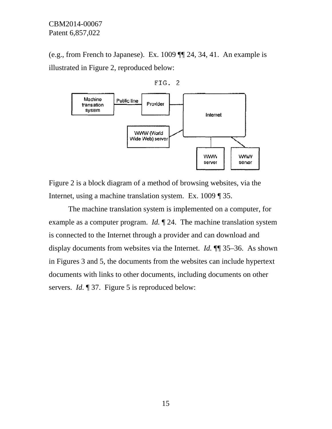(e.g., from French to Japanese). Ex.  $1009$   $\P$  24, 34, 41. An example is illustrated in Figure 2, reproduced below:



Figure 2 is a block diagram of a method of browsing websites, via the Internet, using a machine translation system. Ex. 1009 ¶ 35.

example as a computer program. *Id*.  $\P$  24. The machine translation system is connected to the Internet through a provider and can download and display documents from websites via the Internet. *Id.*  $\P$  35–36. As shown in Figures 3 and 5, the documents from the websites can include hypertext documents with links to other documents, including documents on other servers. *Id.* 137. Figure 5 is reproduced below: The machine translation system is implemented on a computer, for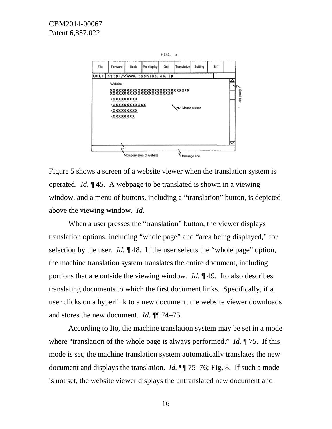

Figure 5 shows a screen of a website viewer when the translation system is operated. *Id.*  $\parallel$  45. A webpage to be translated is shown in a viewing window, and a menu of buttons, including a "translation" button, is depicted above the viewing window. *Id.* 

translation options, including "whole page" and "area being displayed," for selection by the user. *Id.*  $\llbracket 48$ . If the user selects the "whole page" option, the machine translation system translates the entire document, including portions that are outside the viewing window. *Id.* 149. Ito also describes translating documents to which the first document links. Specifically, if a user clicks on a hyperlink to a new document, the website viewer download and stores the new document. *Id.* **¶** 74–75. When a user presses the "translation" button, the viewer displays d<br>.<br>.

where "translation of the whole page is always performed." *Id.* 175. If this mode is set, the machine translation system automatically translates the new document and displays the translation. *Id.*  $\P$  75–76; Fig. 8. If such a mode is not set, the website viewer displays the untranslated new document and According to Ito, the machine translation system may be set in a mode is<br>w<br>le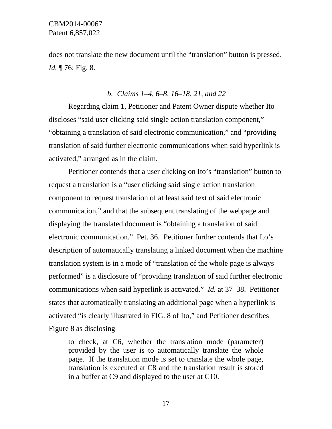does not translate the new document until the "translation" button is pressed. *Id.* 176; Fig. 8.

#### *b. Claims 1–4, 6–8, 16–18, 21, and 22*

 Regarding claim 1, Petitioner and Patent Owner dispute whether Ito discloses "said user clicking said single action translation component," "obtaining a translation of said electronic communication," and "providing translation of said further electronic communications when said hyperlink is activated," arranged as in the claim.

Petitioner contends that a user clicking on Ito's "translation" button to request a translation is a "user clicking said single action translation component to request translation of at least said text of said electronic communication," and that the subsequent translating of the webpage and displaying the translated document is "obtaining a translation of said electronic communication." Pet. 36. Petitioner further contends that Ito's description of automatically translating a linked document when the machine translation system is in a mode of "translation of the whole page is always performed" is a disclosure of "providing translation of said further electronic communications when said hyperlink is activated." *Id.* at 37–38. Petitioner states that automatically translating an additional page when a hyperlink is activated "is clearly illustrated in FIG. 8 of Ito," and Petitioner describes Figure 8 as disclosing

to check, at C6, whether the translation mode (parameter) provided by the user is to automatically translate the whole page. If the translation mode is set to translate the whole page, translation is executed at C8 and the translation result is stored in a buffer at C9 and displayed to the user at C10.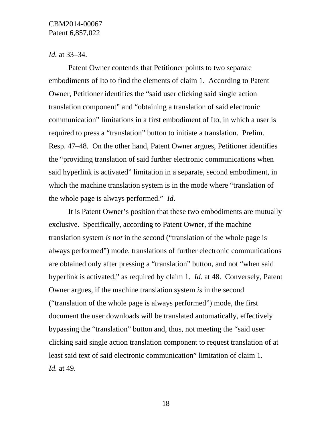#### *Id.* at 33–34.

Patent Owner contends that Petitioner points to two separate embodiments of Ito to find the elements of claim 1. According to Patent Owner, Petitioner identifies the "said user clicking said single action translation component" and "obtaining a translation of said electronic communication" limitations in a first embodiment of Ito, in which a user is required to press a "translation" button to initiate a translation. Prelim. Resp. 47–48. On the other hand, Patent Owner argues, Petitioner identifies the "providing translation of said further electronic communications when said hyperlink is activated" limitation in a separate, second embodiment, in which the machine translation system is in the mode where "translation of the whole page is always performed." *Id*.

It is Patent Owner's position that these two embodiments are mutually exclusive. Specifically, according to Patent Owner, if the machine translation system *is not* in the second ("translation of the whole page is always performed") mode, translations of further electronic communications are obtained only after pressing a "translation" button, and not "when said hyperlink is activated," as required by claim 1. *Id.* at 48. Conversely, Patent Owner argues, if the machine translation system *is* in the second ("translation of the whole page is always performed") mode, the first document the user downloads will be translated automatically, effectively bypassing the "translation" button and, thus, not meeting the "said user clicking said single action translation component to request translation of at least said text of said electronic communication" limitation of claim 1. *Id.* at 49.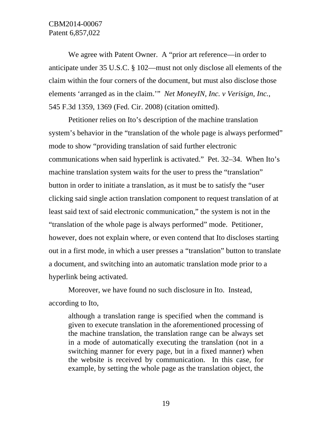We agree with Patent Owner. A "prior art reference—in order to anticipate under 35 U.S.C. § 102—must not only disclose all elements of the claim within the four corners of the document, but must also disclose those elements 'arranged as in the claim.'" *Net MoneyIN, Inc. v Verisign, Inc.*, 545 F.3d 1359, 1369 (Fed. Cir. 2008) (citation omitted).

Petitioner relies on Ito's description of the machine translation system's behavior in the "translation of the whole page is always performed" mode to show "providing translation of said further electronic communications when said hyperlink is activated." Pet. 32–34. When Ito's machine translation system waits for the user to press the "translation" button in order to initiate a translation, as it must be to satisfy the "user clicking said single action translation component to request translation of at least said text of said electronic communication," the system is not in the "translation of the whole page is always performed" mode. Petitioner, however, does not explain where, or even contend that Ito discloses starting out in a first mode, in which a user presses a "translation" button to translate a document, and switching into an automatic translation mode prior to a hyperlink being activated.

Moreover, we have found no such disclosure in Ito. Instead, according to Ito,

although a translation range is specified when the command is given to execute translation in the aforementioned processing of the machine translation, the translation range can be always set in a mode of automatically executing the translation (not in a switching manner for every page, but in a fixed manner) when the website is received by communication. In this case, for example, by setting the whole page as the translation object, the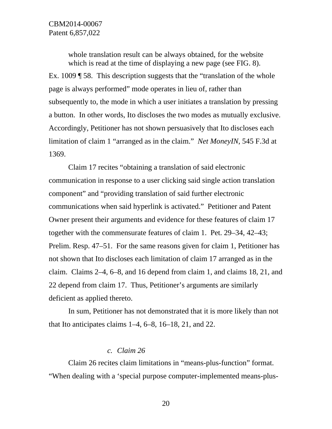whole translation result can be always obtained, for the website which is read at the time of displaying a new page (see FIG. 8). Ex. 1009 ¶ 58. This description suggests that the "translation of the whole page is always performed" mode operates in lieu of, rather than subsequently to, the mode in which a user initiates a translation by pressing a button. In other words, Ito discloses the two modes as mutually exclusive. Accordingly, Petitioner has not shown persuasively that Ito discloses each limitation of claim 1 "arranged as in the claim." *Net MoneyIN*, 545 F.3d at 1369.

Claim 17 recites "obtaining a translation of said electronic communication in response to a user clicking said single action translation component" and "providing translation of said further electronic communications when said hyperlink is activated." Petitioner and Patent Owner present their arguments and evidence for these features of claim 17 together with the commensurate features of claim 1. Pet. 29–34, 42–43; Prelim. Resp. 47–51. For the same reasons given for claim 1, Petitioner has not shown that Ito discloses each limitation of claim 17 arranged as in the claim. Claims 2–4, 6–8, and 16 depend from claim 1, and claims 18, 21, and 22 depend from claim 17. Thus, Petitioner's arguments are similarly deficient as applied thereto.

In sum, Petitioner has not demonstrated that it is more likely than not that Ito anticipates claims  $1-4$ ,  $6-8$ ,  $16-18$ ,  $21$ , and  $22$ .

#### *c. Claim 26*

Claim 26 recites claim limitations in "means-plus-function" format. "When dealing with a 'special purpose computer-implemented means-plus-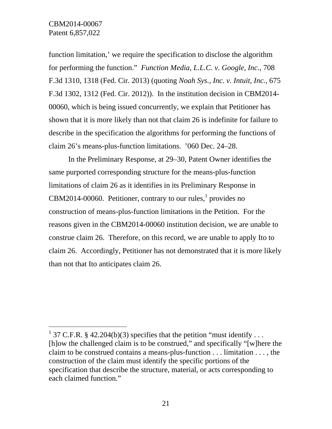$\overline{a}$ 

function limitation,' we require the specification to disclose the algorithm for performing the function." *Function Media, L.L.C. v. Google, Inc.*, 708 F.3d 1310, 1318 (Fed. Cir. 2013) (quoting *Noah Sys., Inc. v. Intuit, Inc.*, 675 F.3d 1302, 1312 (Fed. Cir. 2012)). In the institution decision in CBM2014- 00060, which is being issued concurrently, we explain that Petitioner has shown that it is more likely than not that claim 26 is indefinite for failure to describe in the specification the algorithms for performing the functions of claim 26's means-plus-function limitations. '060 Dec. 24–28.

In the Preliminary Response, at 29–30, Patent Owner identifies the same purported corresponding structure for the means-plus-function limitations of claim 26 as it identifies in its Preliminary Response in  $CBM2014-00060$ . Petitioner, contrary to our rules, provides no construction of means-plus-function limitations in the Petition. For the reasons given in the CBM2014-00060 institution decision, we are unable to construe claim 26. Therefore, on this record, we are unable to apply Ito to claim 26. Accordingly, Petitioner has not demonstrated that it is more likely than not that Ito anticipates claim 26.

<sup>&</sup>lt;sup>1</sup> 37 C.F.R. § 42.204(b)(3) specifies that the petition "must identify ... [h]ow the challenged claim is to be construed," and specifically "[w]here the claim to be construed contains a means-plus-function . . . limitation . . . , the construction of the claim must identify the specific portions of the specification that describe the structure, material, or acts corresponding to each claimed function."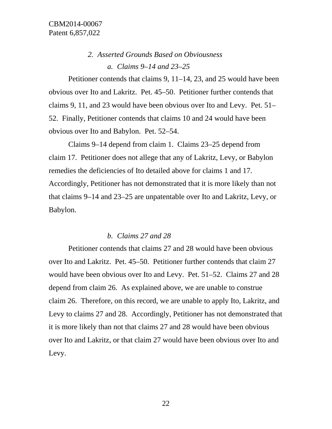# *2. Asserted Grounds Based on Obviousness a. Claims 9–14 and 23–25*

Petitioner contends that claims 9, 11–14, 23, and 25 would have been obvious over Ito and Lakritz. Pet. 45–50. Petitioner further contends that claims 9, 11, and 23 would have been obvious over Ito and Levy. Pet. 51– 52. Finally, Petitioner contends that claims 10 and 24 would have been obvious over Ito and Babylon. Pet. 52–54.

Claims 9–14 depend from claim 1. Claims 23–25 depend from claim 17. Petitioner does not allege that any of Lakritz, Levy, or Babylon remedies the deficiencies of Ito detailed above for claims 1 and 17. Accordingly, Petitioner has not demonstrated that it is more likely than not that claims 9–14 and 23–25 are unpatentable over Ito and Lakritz, Levy, or Babylon.

#### *b. Claims 27 and 28*

Petitioner contends that claims 27 and 28 would have been obvious over Ito and Lakritz. Pet. 45–50. Petitioner further contends that claim 27 would have been obvious over Ito and Levy. Pet. 51–52. Claims 27 and 28 depend from claim 26. As explained above, we are unable to construe claim 26. Therefore, on this record, we are unable to apply Ito, Lakritz, and Levy to claims 27 and 28. Accordingly, Petitioner has not demonstrated that it is more likely than not that claims 27 and 28 would have been obvious over Ito and Lakritz, or that claim 27 would have been obvious over Ito and Levy.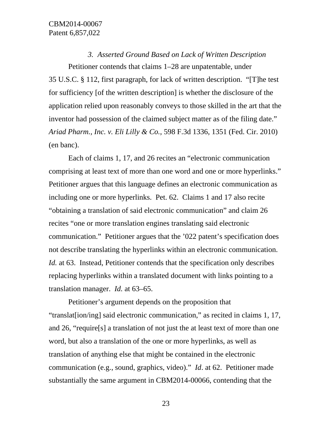*3. Asserted Ground Based on Lack of Written Description*  Petitioner contends that claims 1–28 are unpatentable, under 35 U.S.C. § 112, first paragraph, for lack of written description. "[T]he test for sufficiency [of the written description] is whether the disclosure of the application relied upon reasonably conveys to those skilled in the art that the inventor had possession of the claimed subject matter as of the filing date." *Ariad Pharm., Inc. v. Eli Lilly & Co.*, 598 F.3d 1336, 1351 (Fed. Cir. 2010) (en banc).

Each of claims 1, 17, and 26 recites an "electronic communication comprising at least text of more than one word and one or more hyperlinks." Petitioner argues that this language defines an electronic communication as including one or more hyperlinks. Pet. 62. Claims 1 and 17 also recite "obtaining a translation of said electronic communication" and claim 26 recites "one or more translation engines translating said electronic communication." Petitioner argues that the '022 patent's specification does not describe translating the hyperlinks within an electronic communication. *Id.* at 63. Instead, Petitioner contends that the specification only describes replacing hyperlinks within a translated document with links pointing to a translation manager. *Id.* at 63–65.

Petitioner's argument depends on the proposition that "translat[ion/ing] said electronic communication," as recited in claims 1, 17, and 26, "require[s] a translation of not just the at least text of more than one word, but also a translation of the one or more hyperlinks, as well as translation of anything else that might be contained in the electronic communication (e.g., sound, graphics, video)." *Id*. at 62. Petitioner made substantially the same argument in CBM2014-00066, contending that the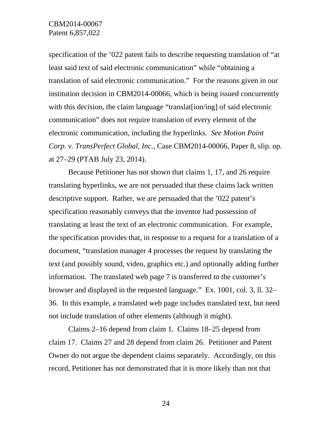specification of the '022 patent fails to describe requesting translation of "at least said text of said electronic communication" while "obtaining a translation of said electronic communication." For the reasons given in our institution decision in CBM2014-00066, which is being issued concurrently with this decision, the claim language "translat<sup>[ion/ing]</sup> of said electronic communication" does not require translation of every element of the electronic communication, including the hyperlinks. *See Motion Point Corp. v. TransPerfect Global, Inc.*, Case CBM2014-00066, Paper 8, slip. op. at 27–29 (PTAB July 23, 2014).

Because Petitioner has not shown that claims 1, 17, and 26 require translating hyperlinks, we are not persuaded that these claims lack written descriptive support. Rather, we are persuaded that the '022 patent's specification reasonably conveys that the inventor had possession of translating at least the text of an electronic communication. For example, the specification provides that, in response to a request for a translation of a document, "translation manager 4 processes the request by translating the text (and possibly sound, video, graphics etc.) and optionally adding further information. The translated web page 7 is transferred to the customer's browser and displayed in the requested language." Ex. 1001, col. 3, ll. 32– 36. In this example, a translated web page includes translated text, but need not include translation of other elements (although it might).

Claims 2–16 depend from claim 1. Claims 18–25 depend from claim 17. Claims 27 and 28 depend from claim 26. Petitioner and Patent Owner do not argue the dependent claims separately. Accordingly, on this record, Petitioner has not demonstrated that it is more likely than not that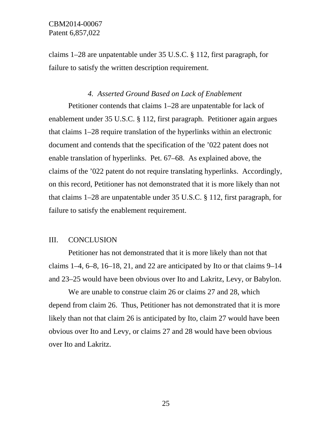claims 1–28 are unpatentable under 35 U.S.C. § 112, first paragraph, for failure to satisfy the written description requirement.

# *4. Asserted Ground Based on Lack of Enablement*

Petitioner contends that claims 1–28 are unpatentable for lack of enablement under 35 U.S.C. § 112, first paragraph. Petitioner again argues that claims 1–28 require translation of the hyperlinks within an electronic document and contends that the specification of the '022 patent does not enable translation of hyperlinks. Pet. 67–68. As explained above, the claims of the '022 patent do not require translating hyperlinks. Accordingly, on this record, Petitioner has not demonstrated that it is more likely than not that claims 1–28 are unpatentable under 35 U.S.C. § 112, first paragraph, for failure to satisfy the enablement requirement.

# III. CONCLUSION

Petitioner has not demonstrated that it is more likely than not that claims  $1-4$ ,  $6-8$ ,  $16-18$ ,  $21$ , and  $22$  are anticipated by Ito or that claims  $9-14$ and 23–25 would have been obvious over Ito and Lakritz, Levy, or Babylon.

We are unable to construe claim 26 or claims 27 and 28, which depend from claim 26. Thus, Petitioner has not demonstrated that it is more likely than not that claim 26 is anticipated by Ito, claim 27 would have been obvious over Ito and Levy, or claims 27 and 28 would have been obvious over Ito and Lakritz.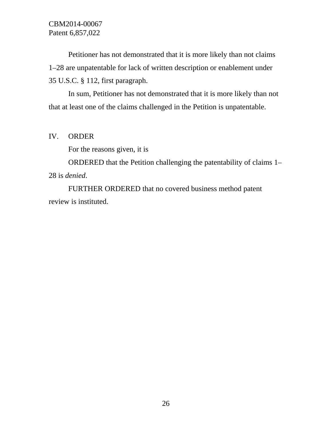Petitioner has not demonstrated that it is more likely than not claims 1–28 are unpatentable for lack of written description or enablement under 35 U.S.C. § 112, first paragraph.

In sum, Petitioner has not demonstrated that it is more likely than not that at least one of the claims challenged in the Petition is unpatentable.

#### IV. ORDER

For the reasons given, it is

ORDERED that the Petition challenging the patentability of claims 1– 28 is *denied*.

FURTHER ORDERED that no covered business method patent review is instituted.